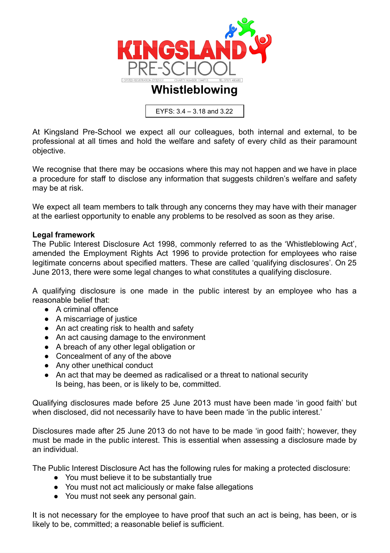

EYFS: 3.4 – 3.18 and 3.22

At Kingsland Pre-School we expect all our colleagues, both internal and external, to be professional at all times and hold the welfare and safety of every child as their paramount objective.

We recognise that there may be occasions where this may not happen and we have in place a procedure for staff to disclose any information that suggests children's welfare and safety may be at risk.

We expect all team members to talk through any concerns they may have with their manager at the earliest opportunity to enable any problems to be resolved as soon as they arise.

## **Legal framework**

The Public Interest Disclosure Act 1998, commonly referred to as the 'Whistleblowing Act', amended the Employment Rights Act 1996 to provide protection for employees who raise legitimate concerns about specified matters. These are called 'qualifying disclosures'. On 25 June 2013, there were some legal changes to what constitutes a qualifying disclosure.

A qualifying disclosure is one made in the public interest by an employee who has a reasonable belief that:

- A criminal offence
- A miscarriage of justice
- An act creating risk to health and safety
- An act causing damage to the environment
- A breach of any other legal obligation or
- Concealment of any of the above
- Any other unethical conduct
- An act that may be deemed as radicalised or a threat to national security Is being, has been, or is likely to be, committed.

Qualifying disclosures made before 25 June 2013 must have been made 'in good faith' but when disclosed, did not necessarily have to have been made 'in the public interest.'

Disclosures made after 25 June 2013 do not have to be made 'in good faith'; however, they must be made in the public interest. This is essential when assessing a disclosure made by an individual.

The Public Interest Disclosure Act has the following rules for making a protected disclosure:

- You must believe it to be substantially true
- You must not act maliciously or make false allegations
- You must not seek any personal gain.

It is not necessary for the employee to have proof that such an act is being, has been, or is likely to be, committed; a reasonable belief is sufficient.